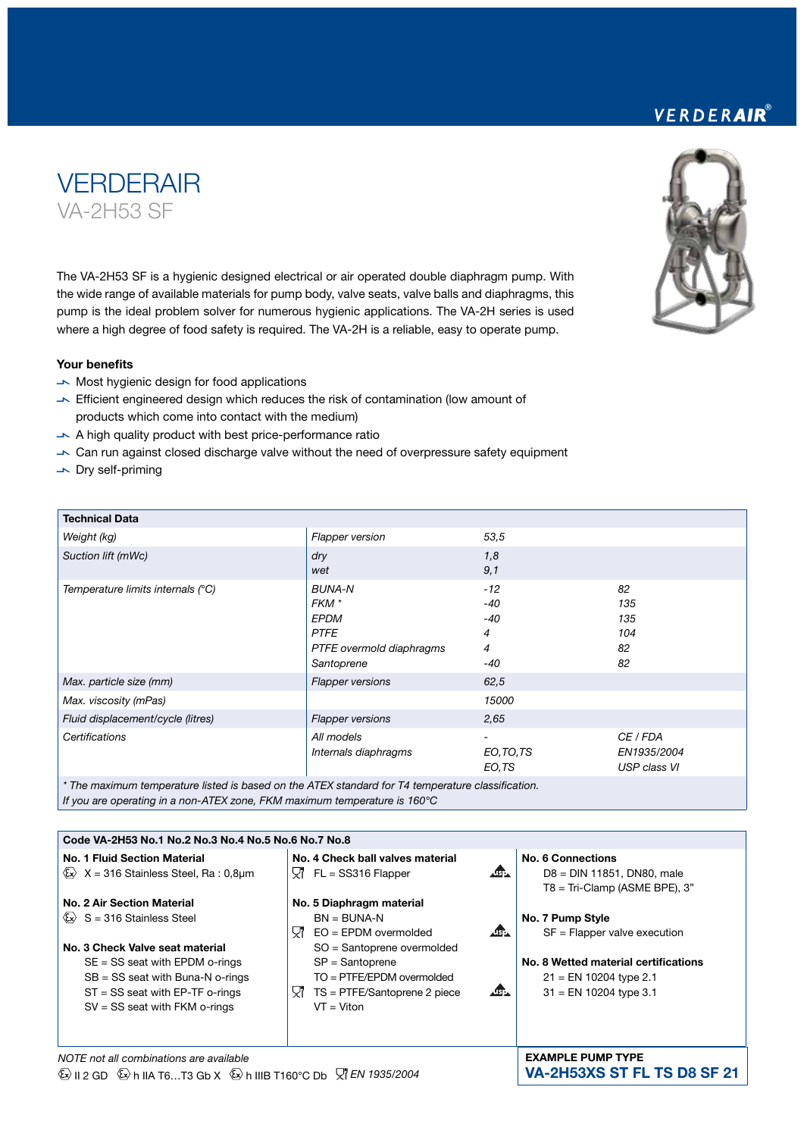The VA-2H53 SF is a hygienic designed electrical or air operated double diaphragm pump. With the wide range of available materials for pump body, valve seats, valve balls and diaphragms, this pump is the ideal problem solver for numerous hygienic applications. The VA-2H series is used where a high degree of food safety is required. The VA-2H is a reliable, easy to operate pump.

#### Your benefits

**VERDERAIR** 

VA-2H53 SF

- $\rightarrow$  Most hygienic design for food applications
- $\blacktriangleright$  Efficient engineered design which reduces the risk of contamination (low amount of products which come into contact with the medium)
- $\blacktriangleright$  A high quality product with best price-performance ratio
- $\rightarrow$  Can run against closed discharge valve without the need of overpressure safety equipment
- $\overline{\phantom{a}}$  Dry self-priming

| <b>Technical Data</b>                                                                             |                                                                                                |                                            |                                         |  |
|---------------------------------------------------------------------------------------------------|------------------------------------------------------------------------------------------------|--------------------------------------------|-----------------------------------------|--|
| Weight (kg)                                                                                       | <b>Flapper version</b>                                                                         | 53,5                                       |                                         |  |
| Suction lift (mWc)                                                                                | dry<br>wet                                                                                     | 1,8<br>9,1                                 |                                         |  |
| Temperature limits internals (°C)                                                                 | <b>BUNA-N</b><br>FKM *<br><b>EPDM</b><br><b>PTFE</b><br>PTFE overmold diaphragms<br>Santoprene | $-12$<br>$-40$<br>$-40$<br>4<br>4<br>$-40$ | 82<br>135<br>135<br>104<br>82<br>82     |  |
| Max. particle size (mm)                                                                           | <b>Flapper versions</b>                                                                        | 62,5                                       |                                         |  |
| Max. viscosity (mPas)                                                                             |                                                                                                | 15000                                      |                                         |  |
| Fluid displacement/cycle (litres)                                                                 | <b>Flapper versions</b>                                                                        | 2,65                                       |                                         |  |
| Certifications                                                                                    | All models<br>Internals diaphragms                                                             | EO, TO, TS<br>EO,TS                        | CE / FDA<br>EN1935/2004<br>USP class VI |  |
| * The maximum temperature listed is based on the ATEX standard for T4 temperature classification. |                                                                                                |                                            |                                         |  |

*If you are operating in a non-ATEX zone, FKM maximum temperature is 160°C*

| Code VA-2H53 No.1 No.2 No.3 No.4 No.5 No.6 No.7 No.8                                                                                                                                                                                                           |                                                                                                                                                                                                                                        |                                                                                                                                                    |  |  |
|----------------------------------------------------------------------------------------------------------------------------------------------------------------------------------------------------------------------------------------------------------------|----------------------------------------------------------------------------------------------------------------------------------------------------------------------------------------------------------------------------------------|----------------------------------------------------------------------------------------------------------------------------------------------------|--|--|
| No. 1 Fluid Section Material<br>$\&\times$ X = 316 Stainless Steel, Ra : 0,8µm                                                                                                                                                                                 | No. 4 Check ball valves material<br>$\Delta$<br>Y7.<br>$FL = SS316$ Flapper                                                                                                                                                            | No. 6 Connections<br>$D8 = DIN$ 11851, DN80, male<br>$T8 = Tri-Clamp$ (ASME BPE), 3"                                                               |  |  |
| No. 2 Air Section Material<br>$\langle x \rangle$ S = 316 Stainless Steel<br>No. 3 Check Valve seat material<br>$SE = SS$ seat with EPDM o-rings<br>$SB = SS$ seat with Buna-N o-rings<br>$ST = SS$ seat with EP-TF o-rings<br>$SV = SS$ seat with FKM o-rings | No. 5 Diaphragm material<br>$BN = BUNA-N$<br>AB-<br>Yľ<br>$EO = EPDM$ overmolded<br>SO = Santoprene overmolded<br>$SP =$ Santoprene<br>$TO = PTFE/EPDM$ overmolded<br><b>ASE</b><br>Υ7<br>TS = PTFE/Santoprene 2 piece<br>$VT = Viton$ | No. 7 Pump Style<br>$SF = Flapper value execution$<br>No. 8 Wetted material certifications<br>$21 = EN 10204$ type 2.1<br>$31$ = EN 10204 type 3.1 |  |  |
| NOTE not all combinations are available                                                                                                                                                                                                                        | <b>EXAMPLE PUMP TYPE</b>                                                                                                                                                                                                               |                                                                                                                                                    |  |  |

### *NOTE not all combinations are available*   $\overline{\mathbb{Q}}$  II 2 GD  $\overline{\mathbb{Q}}$  h IIA T6...T3 Gb X  $\overline{\mathbb{Q}}$  h IIIB T160°C Db  $\overline{\mathbb{Z}}$  *EN 1935/2004*

VERDERAIR®



VA-2H53XS ST FL TS D8 SF 21

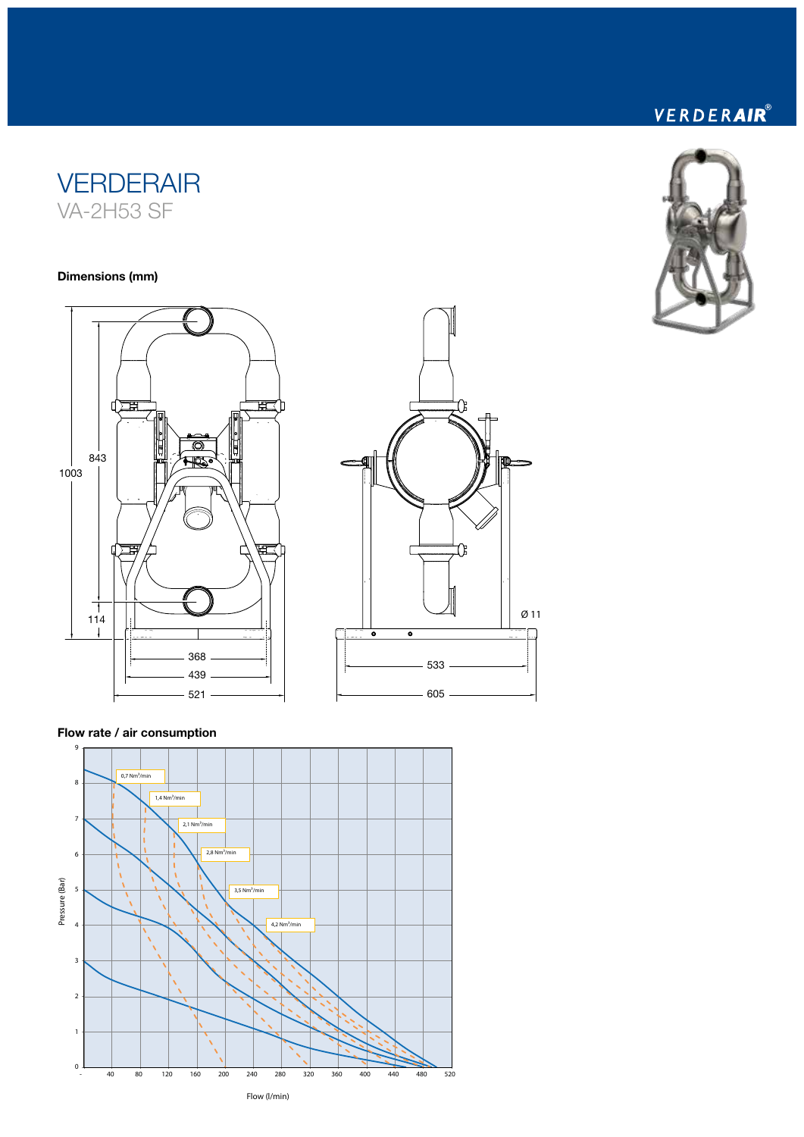# **VERDERAIR** VA-2H53 SF

#### Dimensions (mm)







## Flow rate / air consumption